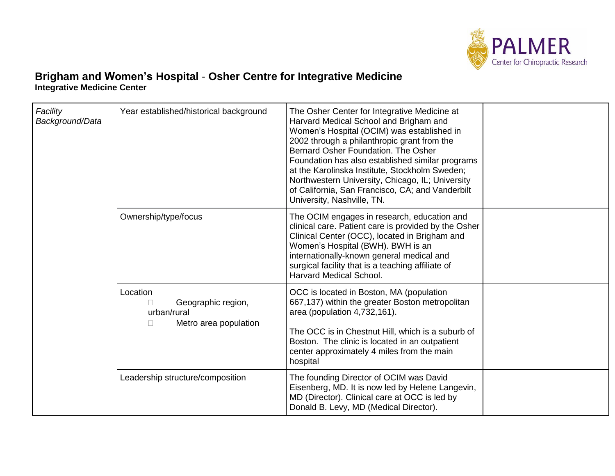

## **Brigham and Women's Hospital** - **Osher Centre for Integrative Medicine Integrative Medicine Center**

| Facility<br>Background/Data | Year established/historical background                                                     | The Osher Center for Integrative Medicine at<br>Harvard Medical School and Brigham and<br>Women's Hospital (OCIM) was established in<br>2002 through a philanthropic grant from the<br>Bernard Osher Foundation. The Osher<br>Foundation has also established similar programs<br>at the Karolinska Institute, Stockholm Sweden;<br>Northwestern University, Chicago, IL; University<br>of California, San Francisco, CA; and Vanderbilt<br>University, Nashville, TN. |  |
|-----------------------------|--------------------------------------------------------------------------------------------|------------------------------------------------------------------------------------------------------------------------------------------------------------------------------------------------------------------------------------------------------------------------------------------------------------------------------------------------------------------------------------------------------------------------------------------------------------------------|--|
|                             | Ownership/type/focus                                                                       | The OCIM engages in research, education and<br>clinical care. Patient care is provided by the Osher<br>Clinical Center (OCC), located in Brigham and<br>Women's Hospital (BWH). BWH is an<br>internationally-known general medical and<br>surgical facility that is a teaching affiliate of<br><b>Harvard Medical School.</b>                                                                                                                                          |  |
|                             | Location<br>Geographic region,<br>$\Box$<br>urban/rural<br>Metro area population<br>$\Box$ | OCC is located in Boston, MA (population<br>667,137) within the greater Boston metropolitan<br>area (population 4,732,161).<br>The OCC is in Chestnut Hill, which is a suburb of<br>Boston. The clinic is located in an outpatient<br>center approximately 4 miles from the main<br>hospital                                                                                                                                                                           |  |
|                             | Leadership structure/composition                                                           | The founding Director of OCIM was David<br>Eisenberg, MD. It is now led by Helene Langevin,<br>MD (Director). Clinical care at OCC is led by<br>Donald B. Levy, MD (Medical Director).                                                                                                                                                                                                                                                                                 |  |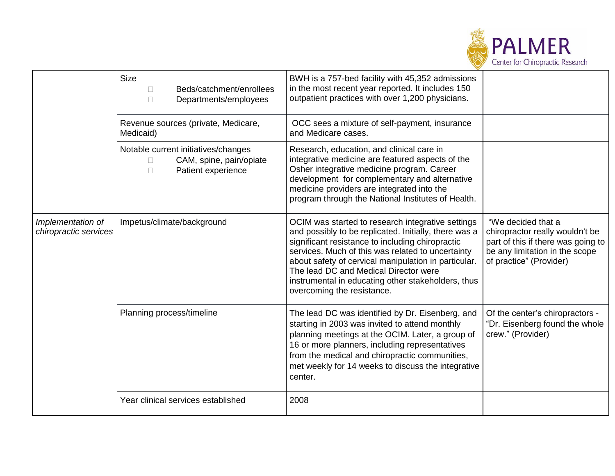

|                                            | <b>Size</b><br>Beds/catchment/enrollees<br>$\Box$<br>Departments/employees<br>$\Box$                     | BWH is a 757-bed facility with 45,352 admissions<br>in the most recent year reported. It includes 150<br>outpatient practices with over 1,200 physicians.                                                                                                                                                                                                                                                |                                                                                                                                                          |
|--------------------------------------------|----------------------------------------------------------------------------------------------------------|----------------------------------------------------------------------------------------------------------------------------------------------------------------------------------------------------------------------------------------------------------------------------------------------------------------------------------------------------------------------------------------------------------|----------------------------------------------------------------------------------------------------------------------------------------------------------|
|                                            | Revenue sources (private, Medicare,<br>Medicaid)                                                         | OCC sees a mixture of self-payment, insurance<br>and Medicare cases.                                                                                                                                                                                                                                                                                                                                     |                                                                                                                                                          |
|                                            | Notable current initiatives/changes<br>CAM, spine, pain/opiate<br>$\Box$<br>Patient experience<br>$\Box$ | Research, education, and clinical care in<br>integrative medicine are featured aspects of the<br>Osher integrative medicine program. Career<br>development for complementary and alternative<br>medicine providers are integrated into the<br>program through the National Institutes of Health.                                                                                                         |                                                                                                                                                          |
| Implementation of<br>chiropractic services | Impetus/climate/background                                                                               | OCIM was started to research integrative settings<br>and possibly to be replicated. Initially, there was a<br>significant resistance to including chiropractic<br>services. Much of this was related to uncertainty<br>about safety of cervical manipulation in particular.<br>The lead DC and Medical Director were<br>instrumental in educating other stakeholders, thus<br>overcoming the resistance. | "We decided that a<br>chiropractor really wouldn't be<br>part of this if there was going to<br>be any limitation in the scope<br>of practice" (Provider) |
|                                            | Planning process/timeline                                                                                | The lead DC was identified by Dr. Eisenberg, and<br>starting in 2003 was invited to attend monthly<br>planning meetings at the OCIM. Later, a group of<br>16 or more planners, including representatives<br>from the medical and chiropractic communities,<br>met weekly for 14 weeks to discuss the integrative<br>center.                                                                              | Of the center's chiropractors -<br>"Dr. Eisenberg found the whole<br>crew." (Provider)                                                                   |
|                                            | Year clinical services established                                                                       | 2008                                                                                                                                                                                                                                                                                                                                                                                                     |                                                                                                                                                          |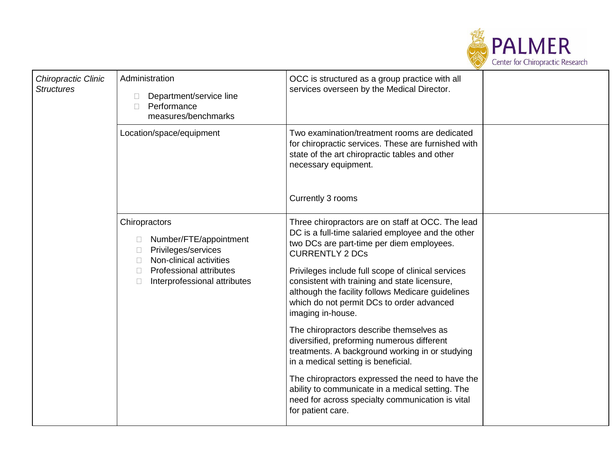

| Chiropractic Clinic<br><b>Structures</b> | Administration<br>Department/service line<br>Performance<br>$\Box$<br>measures/benchmarks                                                                                   | OCC is structured as a group practice with all<br>services overseen by the Medical Director.                                                                                                                                                                                                                                                                                                                                                                                                                                                                                                                                                                                                                                                                                     |  |
|------------------------------------------|-----------------------------------------------------------------------------------------------------------------------------------------------------------------------------|----------------------------------------------------------------------------------------------------------------------------------------------------------------------------------------------------------------------------------------------------------------------------------------------------------------------------------------------------------------------------------------------------------------------------------------------------------------------------------------------------------------------------------------------------------------------------------------------------------------------------------------------------------------------------------------------------------------------------------------------------------------------------------|--|
|                                          | Location/space/equipment                                                                                                                                                    | Two examination/treatment rooms are dedicated<br>for chiropractic services. These are furnished with<br>state of the art chiropractic tables and other<br>necessary equipment.<br>Currently 3 rooms                                                                                                                                                                                                                                                                                                                                                                                                                                                                                                                                                                              |  |
|                                          | Chiropractors<br>Number/FTE/appointment<br>Privileges/services<br>Non-clinical activities<br><b>Professional attributes</b><br>$\mathbf{1}$<br>Interprofessional attributes | Three chiropractors are on staff at OCC. The lead<br>DC is a full-time salaried employee and the other<br>two DCs are part-time per diem employees.<br><b>CURRENTLY 2 DCs</b><br>Privileges include full scope of clinical services<br>consistent with training and state licensure,<br>although the facility follows Medicare guidelines<br>which do not permit DCs to order advanced<br>imaging in-house.<br>The chiropractors describe themselves as<br>diversified, preforming numerous different<br>treatments. A background working in or studying<br>in a medical setting is beneficial.<br>The chiropractors expressed the need to have the<br>ability to communicate in a medical setting. The<br>need for across specialty communication is vital<br>for patient care. |  |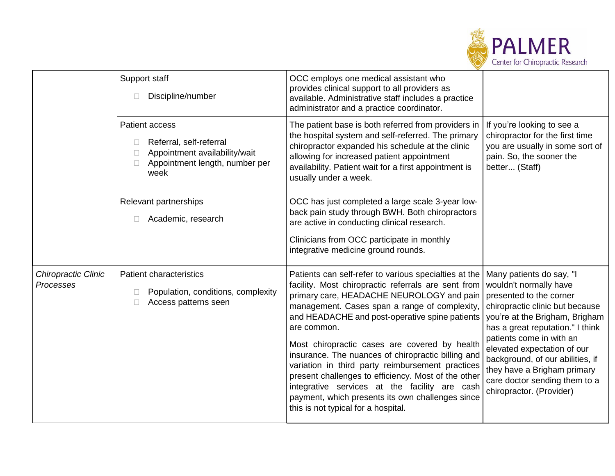

|                                         | Support staff<br>Discipline/number                                                                                   | OCC employs one medical assistant who<br>provides clinical support to all providers as<br>available. Administrative staff includes a practice<br>administrator and a practice coordinator.                                                                                                                                                                                                                                                                                                                                                                                                                                                |                                                                                                                                                                                                                                                                                                                                                                                   |
|-----------------------------------------|----------------------------------------------------------------------------------------------------------------------|-------------------------------------------------------------------------------------------------------------------------------------------------------------------------------------------------------------------------------------------------------------------------------------------------------------------------------------------------------------------------------------------------------------------------------------------------------------------------------------------------------------------------------------------------------------------------------------------------------------------------------------------|-----------------------------------------------------------------------------------------------------------------------------------------------------------------------------------------------------------------------------------------------------------------------------------------------------------------------------------------------------------------------------------|
|                                         | Patient access<br>Referral, self-referral<br>Appointment availability/wait<br>Appointment length, number per<br>week | The patient base is both referred from providers in<br>the hospital system and self-referred. The primary<br>chiropractor expanded his schedule at the clinic<br>allowing for increased patient appointment<br>availability. Patient wait for a first appointment is<br>usually under a week.                                                                                                                                                                                                                                                                                                                                             | If you're looking to see a<br>chiropractor for the first time<br>you are usually in some sort of<br>pain. So, the sooner the<br>better (Staff)                                                                                                                                                                                                                                    |
|                                         | Relevant partnerships<br>Academic, research                                                                          | OCC has just completed a large scale 3-year low-<br>back pain study through BWH. Both chiropractors<br>are active in conducting clinical research.<br>Clinicians from OCC participate in monthly<br>integrative medicine ground rounds.                                                                                                                                                                                                                                                                                                                                                                                                   |                                                                                                                                                                                                                                                                                                                                                                                   |
| Chiropractic Clinic<br><b>Processes</b> | <b>Patient characteristics</b><br>Population, conditions, complexity<br>Access patterns seen                         | Patients can self-refer to various specialties at the<br>facility. Most chiropractic referrals are sent from<br>primary care, HEADACHE NEUROLOGY and pain<br>management. Cases span a range of complexity,<br>and HEADACHE and post-operative spine patients<br>are common.<br>Most chiropractic cases are covered by health<br>insurance. The nuances of chiropractic billing and<br>variation in third party reimbursement practices<br>present challenges to efficiency. Most of the other<br>integrative services at the facility are cash<br>payment, which presents its own challenges since<br>this is not typical for a hospital. | Many patients do say, "I<br>wouldn't normally have<br>presented to the corner<br>chiropractic clinic but because<br>you're at the Brigham, Brigham<br>has a great reputation." I think<br>patients come in with an<br>elevated expectation of our<br>background, of our abilities, if<br>they have a Brigham primary<br>care doctor sending them to a<br>chiropractor. (Provider) |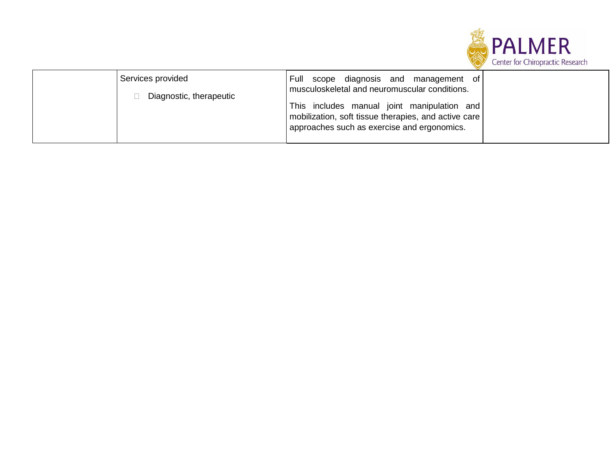

| Services provided<br>Diagnostic, therapeutic | scope diagnosis and management of<br>l Full<br>musculoskeletal and neuromuscular conditions.<br>This includes manual joint manipulation and<br>  mobilization, soft tissue therapies, and active care<br>approaches such as exercise and ergonomics. |  |
|----------------------------------------------|------------------------------------------------------------------------------------------------------------------------------------------------------------------------------------------------------------------------------------------------------|--|
|----------------------------------------------|------------------------------------------------------------------------------------------------------------------------------------------------------------------------------------------------------------------------------------------------------|--|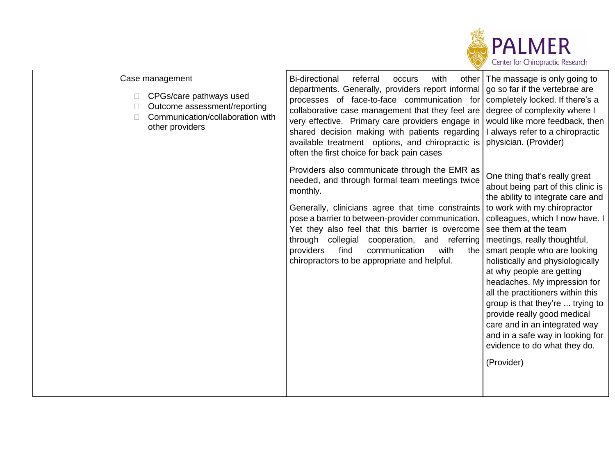

| Case management<br>CPGs/care pathways used<br>$\Box$<br>Outcome assessment/reporting<br>Communication/collaboration with<br>$\mathbb{R}^n$<br>other providers | <b>Bi-directional</b><br>referral<br>with<br>occurs<br>other<br>departments. Generally, providers report informal   go so far if the vertebrae are<br>processes of face-to-face communication for<br>collaborative case management that they feel are<br>very effective. Primary care providers engage in<br>shared decision making with patients regarding<br>available treatment options, and chiropractic is<br>often the first choice for back pain cases | The massage is only going to<br>completely locked. If there's a<br>degree of complexity where I<br>would like more feedback, then<br>I always refer to a chiropractic<br>physician. (Provider)                                                                                                                                                                                                                                                                                                                                                                                                  |
|---------------------------------------------------------------------------------------------------------------------------------------------------------------|---------------------------------------------------------------------------------------------------------------------------------------------------------------------------------------------------------------------------------------------------------------------------------------------------------------------------------------------------------------------------------------------------------------------------------------------------------------|-------------------------------------------------------------------------------------------------------------------------------------------------------------------------------------------------------------------------------------------------------------------------------------------------------------------------------------------------------------------------------------------------------------------------------------------------------------------------------------------------------------------------------------------------------------------------------------------------|
|                                                                                                                                                               | Providers also communicate through the EMR as<br>needed, and through formal team meetings twice<br>monthly.<br>Generally, clinicians agree that time constraints<br>pose a barrier to between-provider communication.<br>Yet they also feel that this barrier is overcome<br>through collegial<br>cooperation, and referring<br>providers<br>find<br>communication<br>with<br>the<br>chiropractors to be appropriate and helpful.                             | One thing that's really great<br>about being part of this clinic is<br>the ability to integrate care and<br>to work with my chiropractor<br>colleagues, which I now have. I<br>see them at the team<br>meetings, really thoughtful,<br>smart people who are looking<br>holistically and physiologically<br>at why people are getting<br>headaches. My impression for<br>all the practitioners within this<br>group is that they're  trying to<br>provide really good medical<br>care and in an integrated way<br>and in a safe way in looking for<br>evidence to do what they do.<br>(Provider) |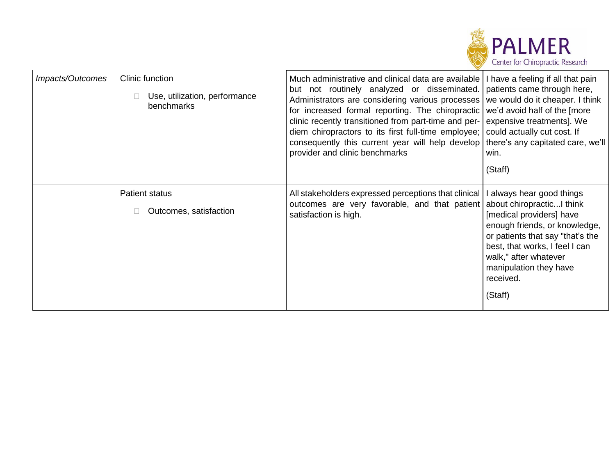

| Impacts/Outcomes | Clinic function<br>Use, utilization, performance<br>benchmarks | Much administrative and clinical data are available   I have a feeling if all that pain<br>but not routinely analyzed or disseminated.<br>Administrators are considering various processes<br>for increased formal reporting. The chiropractic<br>clinic recently transitioned from part-time and per-<br>diem chiropractors to its first full-time employee;<br>consequently this current year will help develop<br>provider and clinic benchmarks | patients came through here,<br>we would do it cheaper. I think<br>we'd avoid half of the [more<br>expensive treatments]. We<br>could actually cut cost. If<br>there's any capitated care, we'll<br>win.<br>(Staff)                                                 |
|------------------|----------------------------------------------------------------|-----------------------------------------------------------------------------------------------------------------------------------------------------------------------------------------------------------------------------------------------------------------------------------------------------------------------------------------------------------------------------------------------------------------------------------------------------|--------------------------------------------------------------------------------------------------------------------------------------------------------------------------------------------------------------------------------------------------------------------|
|                  | <b>Patient status</b><br>Outcomes, satisfaction                | All stakeholders expressed perceptions that clinical<br>outcomes are very favorable, and that patient<br>satisfaction is high.                                                                                                                                                                                                                                                                                                                      | always hear good things<br>about chiropracticI think<br>[medical providers] have<br>enough friends, or knowledge,<br>or patients that say "that's the<br>best, that works, I feel I can<br>walk," after whatever<br>manipulation they have<br>received.<br>(Staff) |